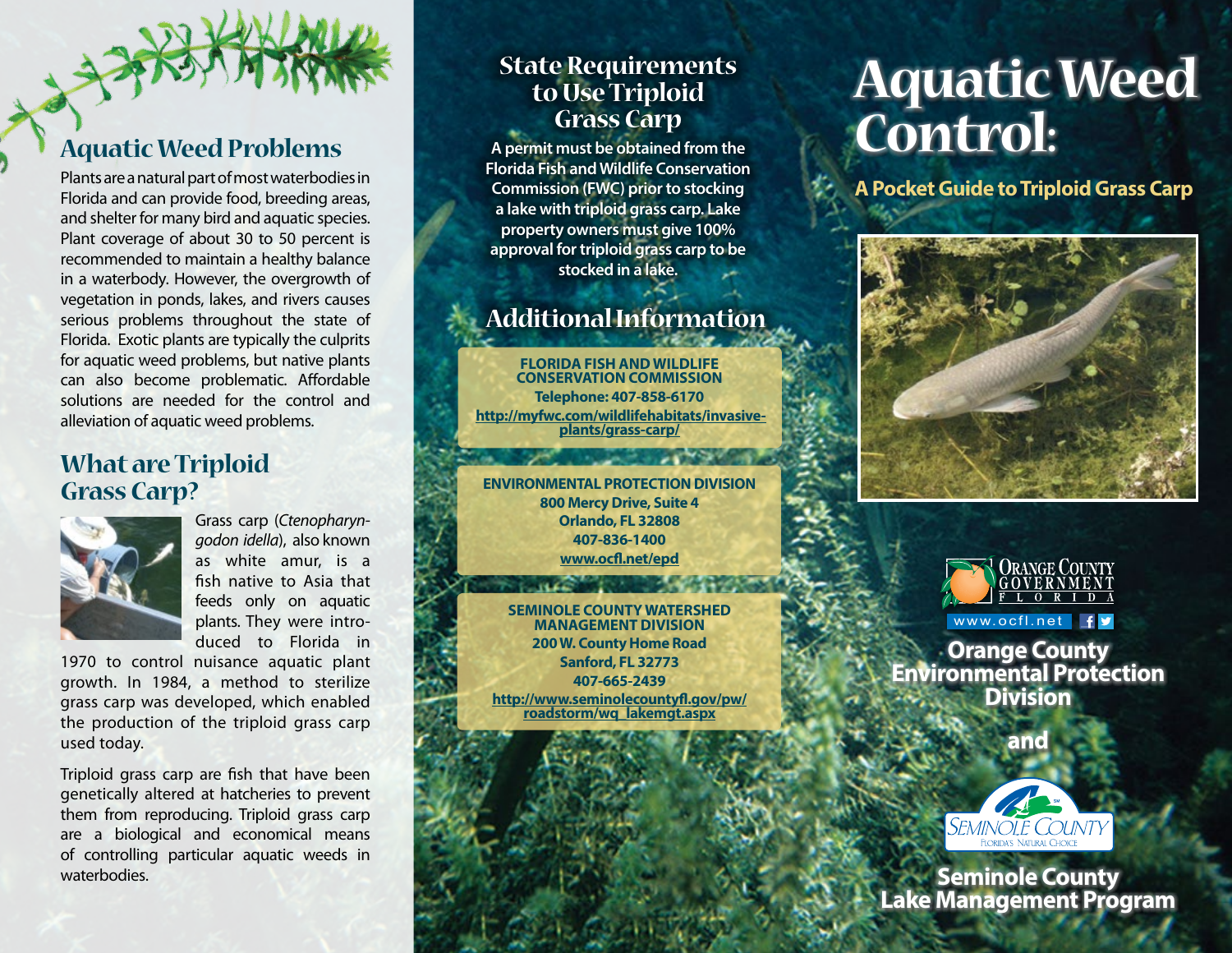# **Aquatic Weed Problems**

Plants are a natural part of most waterbodies in Florida and can provide food, breeding areas, and shelter for many bird and aquatic species. Plant coverage of about 30 to 50 percent is recommended to maintain a healthy balance in a waterbody. However, the overgrowth of vegetation in ponds, lakes, and rivers causes serious problems throughout the state of Florida. Exotic plants are typically the culprits for aquatic weed problems, but native plants can also become problematic. Affordable solutions are needed for the control and alleviation of aquatic weed problems.

## **What are Triploid Grass Carp?**



Grass carp (*Ctenopharyngodon idella*), also known as white amur, is a fish native to Asia that feeds only on aquatic plants. They were introduced to Florida in

1970 to control nuisance aquatic plant growth. In 1984, a method to sterilize grass carp was developed, which enabled the production of the triploid grass carp used today.

Triploid grass carp are fish that have been genetically altered at hatcheries to prevent them from reproducing. Triploid grass carp are a biological and economical means of controlling particular aquatic weeds in waterbodies.

### **State Requirements to Use Triploid Grass Carp**

**A permit must be obtained from the Florida Fish and Wildlife Conservation Commission (FWC) prior to stocking a lake with triploid grass carp. Lake property owners must give 100% approval for triploid grass carp to be stocked in a lake.**

# **Additional Information**

**Florida Fish and Wildlife Conservation Commission Telephone: 407-858-6170 [http://myfwc.com/wildlifehabitats/invasive-](http://myfwc.com/wildlifehabitats/invasive-plants/grass-carp/) [plants/grass-carp/](http://myfwc.com/wildlifehabitats/invasive-plants/grass-carp/)**

**ENVIRONMENTAL PROTECTION DIVISION 800 Mercy Drive, Suite 4 Orlando, FL 32808 407-836-1400 <www.ocfl.net/epd>**

**Seminole County Watershed Management Division 200 W. County Home Road Sanford, FL 32773 407-665-2439 [http://www.seminolecountyfl.gov/pw/](http://www.seminolecountyfl.gov/pw/roadstorm/wq_lakemgt.aspx) roadstorm/wq\_lakemgt.aspx**

# **Aquatic Weed Control:**

**A Pocket Guide to Triploid Grass Carp**





www.ocfl.net

**Orange County Environmental Protection Division**



**Seminole County Lake Management Program**